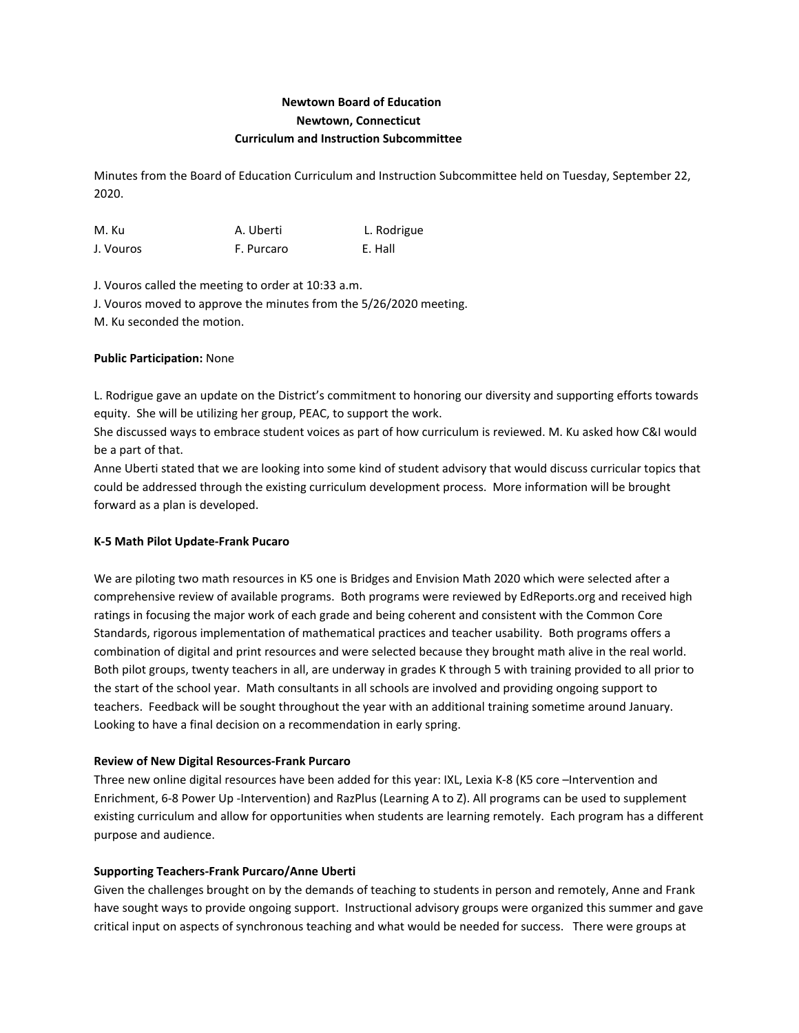# **Newtown Board of Education Newtown, Connecticut Curriculum and Instruction Subcommittee**

Minutes from the Board of Education Curriculum and Instruction Subcommittee held on Tuesday, September 22, 2020.

| M. Ku     | A. Uberti  | L. Rodrigue |
|-----------|------------|-------------|
| J. Vouros | F. Purcaro | E. Hall     |

J. Vouros called the meeting to order at 10:33 a.m. J. Vouros moved to approve the minutes from the 5/26/2020 meeting. M. Ku seconded the motion.

# **Public Participation:** None

L. Rodrigue gave an update on the District's commitment to honoring our diversity and supporting efforts towards equity. She will be utilizing her group, PEAC, to support the work.

She discussed ways to embrace student voices as part of how curriculum is reviewed. M. Ku asked how C&I would be a part of that.

Anne Uberti stated that we are looking into some kind of student advisory that would discuss curricular topics that could be addressed through the existing curriculum development process. More information will be brought forward as a plan is developed.

## **K-5 Math Pilot Update-Frank Pucaro**

We are piloting two math resources in K5 one is Bridges and Envision Math 2020 which were selected after a comprehensive review of available programs. Both programs were reviewed by EdReports.org and received high ratings in focusing the major work of each grade and being coherent and consistent with the Common Core Standards, rigorous implementation of mathematical practices and teacher usability. Both programs offers a combination of digital and print resources and were selected because they brought math alive in the real world. Both pilot groups, twenty teachers in all, are underway in grades K through 5 with training provided to all prior to the start of the school year. Math consultants in all schools are involved and providing ongoing support to teachers. Feedback will be sought throughout the year with an additional training sometime around January. Looking to have a final decision on a recommendation in early spring.

#### **Review of New Digital Resources-Frank Purcaro**

Three new online digital resources have been added for this year: IXL, Lexia K-8 (K5 core –Intervention and Enrichment, 6-8 Power Up -Intervention) and RazPlus (Learning A to Z). All programs can be used to supplement existing curriculum and allow for opportunities when students are learning remotely. Each program has a different purpose and audience.

## **Supporting Teachers-Frank Purcaro/Anne Uberti**

Given the challenges brought on by the demands of teaching to students in person and remotely, Anne and Frank have sought ways to provide ongoing support. Instructional advisory groups were organized this summer and gave critical input on aspects of synchronous teaching and what would be needed for success. There were groups at